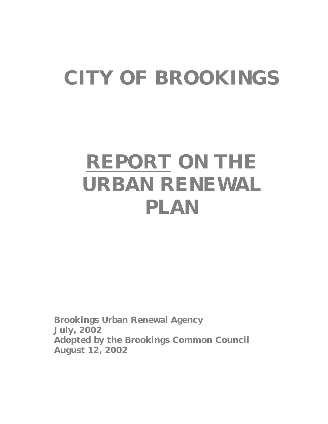# **CITY OF BROOKINGS**

# **REPORT ON THE URBAN RENEWAL PLAN**

**Brookings Urban Renewal Agency July, 2002 Adopted by the Brookings Common Council August 12, 2002**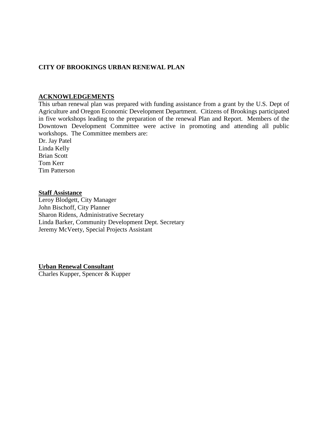#### **CITY OF BROOKINGS URBAN RENEWAL PLAN**

#### **ACKNOWLEDGEMENTS**

This urban renewal plan was prepared with funding assistance from a grant by the U.S. Dept of Agriculture and Oregon Economic Development Department. Citizens of Brookings participated in five workshops leading to the preparation of the renewal Plan and Report. Members of the Downtown Development Committee were active in promoting and attending all public workshops. The Committee members are:

Dr. Jay Patel Linda Kelly Brian Scott Tom Kerr Tim Patterson

#### **Staff Assistance**

Leroy Blodgett, City Manager John Bischoff, City Planner Sharon Ridens, Administrative Secretary Linda Barker, Community Development Dept. Secretary Jeremy McVeety, Special Projects Assistant

**Urban Renewal Consultant**

Charles Kupper, Spencer & Kupper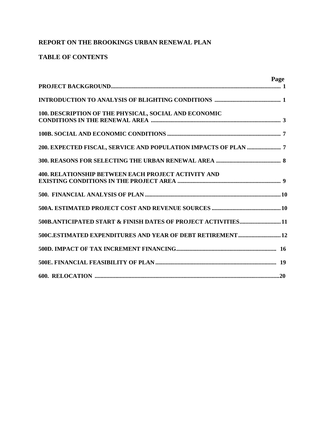# **REPORT ON THE BROOKINGS URBAN RENEWAL PLAN**

# **TABLE OF CONTENTS**

| Page                                                           |
|----------------------------------------------------------------|
|                                                                |
| 100. DESCRIPTION OF THE PHYSICAL, SOCIAL AND ECONOMIC          |
|                                                                |
|                                                                |
|                                                                |
| <b>400. RELATIONSHIP BETWEEN EACH PROJECT ACTIVITY AND</b>     |
|                                                                |
|                                                                |
| 500B.ANTICIPATED START & FINISH DATES OF PROJECT ACTIVITIES 11 |
| 500C.ESTIMATED EXPENDITURES AND YEAR OF DEBT RETIREMENT 12     |
|                                                                |
|                                                                |
|                                                                |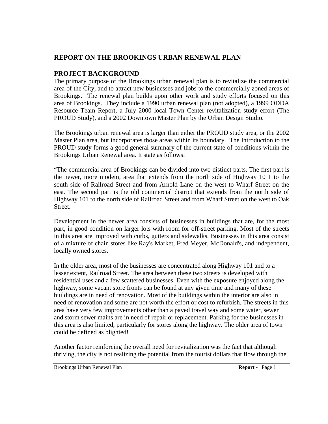# **REPORT ON THE BROOKINGS URBAN RENEWAL PLAN**

# **PROJECT BACKGROUND**

The primary purpose of the Brookings urban renewal plan is to revitalize the commercial area of the City, and to attract new businesses and jobs to the commercially zoned areas of Brookings. The renewal plan builds upon other work and study efforts focused on this area of Brookings. They include a 1990 urban renewal plan (not adopted), a 1999 ODDA Resource Team Report, a July 2000 local Town Center revitalization study effort (The PROUD Study), and a 2002 Downtown Master Plan by the Urban Design Studio.

The Brookings urban renewal area is larger than either the PROUD study area, or the 2002 Master Plan area, but incorporates those areas within its boundary. The Introduction to the PROUD study forms a good general summary of the current state of conditions within the Brookings Urban Renewal area. It state as follows:

"The commercial area of Brookings can be divided into two distinct parts. The first part is the newer, more modem, area that extends from the north side of Highway 10 1 to the south side of Railroad Street and from Arnold Lane on the west to Wharf Street on the east. The second part is the old commercial district that extends from the north side of Highway 101 to the north side of Railroad Street and from Wharf Street on the west to Oak Street.

Development in the newer area consists of businesses in buildings that are, for the most part, in good condition on larger lots with room for off-street parking. Most of the streets in this area are improved with curbs, gutters and sidewalks. Businesses in this area consist of a mixture of chain stores like Ray's Market, Fred Meyer, McDonald's, and independent, locally owned stores.

In the older area, most of the businesses are concentrated along Highway 101 and to a lesser extent, Railroad Street. The area between these two streets is developed with residential uses and a few scattered businesses. Even with the exposure enjoyed along the highway, some vacant store fronts can be found at any given time and many of these buildings are in need of renovation. Most of the buildings within the interior are also in need of renovation and some are not worth the effort or cost to refurbish. The streets in this area have very few improvements other than a paved travel way and some water, sewer and storm sewer mains are in need of repair or replacement. Parking for the businesses in this area is also limited, particularly for stores along the highway. The older area of town could be defined as blighted!

Another factor reinforcing the overall need for revitalization was the fact that although thriving, the city is not realizing the potential from the tourist dollars that flow through the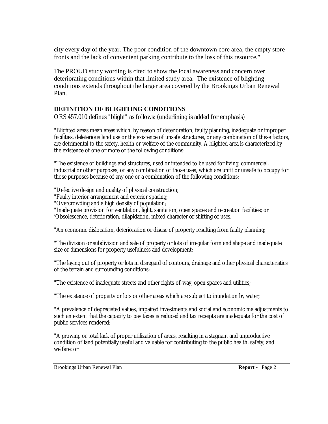city every day of the year. The poor condition of the downtown core area, the empty store fronts and the lack of convenient parking contribute to the loss of this resource."

The PROUD study wording is cited to show the local awareness and concern over deteriorating conditions within that limited study area. The existence of blighting conditions extends throughout the larger area covered by the Brookings Urban Renewal Plan.

#### **DEFINITION OF BLIGHTING CONDITIONS**

ORS 457.010 defines "blight" as follows: (underlining is added for emphasis)

"Blighted areas mean areas which, by reason of deterioration, faulty planning, inadequate or improper facilities, deleterious land use or the existence of unsafe structures, or any combination of these factors, are detrimental to the safety, health or welfare of the community. A blighted area is characterized by the existence of one or more of the following conditions:

"The existence of buildings and structures, used or intended to be used for living, commercial, industrial or other purposes, or any combination of those uses, which are unfit or unsafe to occupy for those purposes because of any one or a combination of the following conditions:

"Defective design and quality of physical construction;

"Faulty interior arrangement and exterior spacing;

"Overcrowding and a high density of population;

"Inadequate provision for ventilation, light, sanitation, open spaces and recreation facilities; or 'Obsolescence, deterioration, dilapidation, mixed character or shifting of uses."

"An economic dislocation, deterioration or disuse of property resulting from faulty planning;

"The division or subdivision and sale of property or lots of irregular form and shape and inadequate size or dimensions for property usefulness and development;

"The laying out of property or lots in disregard of contours, drainage and other physical characteristics of the terrain and surrounding conditions;

"The existence of inadequate streets and other rights-of-way, open spaces and utilities;

"The existence of property or lots or other areas which are subject to inundation by water;

"A prevalence of depreciated values, impaired investments and social and economic maladjustments to such an extent that the capacity to pay taxes is reduced and tax receipts are inadequate for the cost of public services rendered;

"A growing or total lack of proper utilization of areas, resulting in a stagnant and unproductive condition of land potentially useful and valuable for contributing to the public health, safety, and welfare; or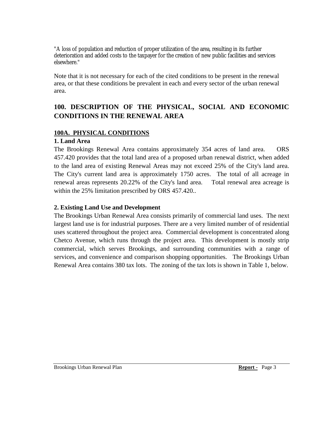"A loss of population and reduction of proper utilization of the area, resulting in its further deterioration and added costs to the taxpayer for the creation of new public facilities and services elsewhere."

Note that it is not necessary for each of the cited conditions to be present in the renewal area, or that these conditions be prevalent in each and every sector of the urban renewal area.

# **100. DESCRIPTION OF THE PHYSICAL, SOCIAL AND ECONOMIC CONDITIONS IN THE RENEWAL AREA**

#### **100A. PHYSICAL CONDITIONS**

#### **1. Land Area**

The Brookings Renewal Area contains approximately 354 acres of land area. ORS 457.420 provides that the total land area of a proposed urban renewal district, when added to the land area of existing Renewal Areas may not exceed 25% of the City's land area. The City's current land area is approximately 1750 acres. The total of all acreage in renewal areas represents 20.22% of the City's land area. Total renewal area acreage is within the 25% limitation prescribed by ORS 457.420..

# **2. Existing Land Use and Development**

The Brookings Urban Renewal Area consists primarily of commercial land uses. The next largest land use is for industrial purposes. There are a very limited number of of residential uses scattered throughout the project area. Commercial development is concentrated along Chetco Avenue, which runs through the project area. This development is mostly strip commercial, which serves Brookings, and surrounding communities with a range of services, and convenience and comparison shopping opportunities. The Brookings Urban Renewal Area contains 380 tax lots. The zoning of the tax lots is shown in Table 1, below.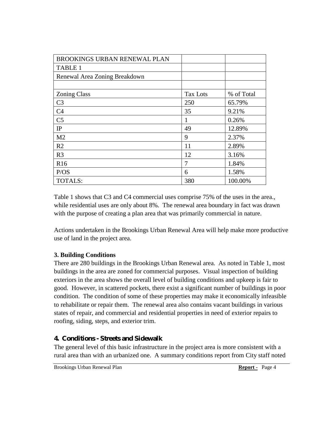| <b>BROOKINGS URBAN RENEWAL PLAN</b> |                 |            |
|-------------------------------------|-----------------|------------|
| <b>TABLE 1</b>                      |                 |            |
| Renewal Area Zoning Breakdown       |                 |            |
|                                     |                 |            |
| <b>Zoning Class</b>                 | <b>Tax Lots</b> | % of Total |
| C <sub>3</sub>                      | 250             | 65.79%     |
| C <sub>4</sub>                      | 35              | 9.21%      |
| C <sub>5</sub>                      | 1               | 0.26%      |
| IP                                  | 49              | 12.89%     |
| M <sub>2</sub>                      | 9               | 2.37%      |
| R <sub>2</sub>                      | 11              | 2.89%      |
| R <sub>3</sub>                      | 12              | 3.16%      |
| R <sub>16</sub>                     | 7               | 1.84%      |
| P/OS                                | 6               | 1.58%      |
| <b>TOTALS:</b>                      | 380             | 100.00%    |

Table 1 shows that C3 and C4 commercial uses comprise 75% of the uses in the area., while residential uses are only about 8%. The renewal area boundary in fact was drawn with the purpose of creating a plan area that was primarily commercial in nature.

Actions undertaken in the Brookings Urban Renewal Area will help make more productive use of land in the project area.

# **3. Building Conditions**

There are 280 buildings in the Brookings Urban Renewal area. As noted in Table 1, most buildings in the area are zoned for commercial purposes. Visual inspection of building exteriors in the area shows the overall level of building conditions and upkeep is fair to good. However, in scattered pockets, there exist a significant number of buildings in poor condition. The condition of some of these properties may make it economically infeasible to rehabilitate or repair them. The renewal area also contains vacant buildings in various states of repair, and commercial and residential properties in need of exterior repairs to roofing, siding, steps, and exterior trim.

# **4. Conditions - Streets and Sidewalk**

The general level of this basic infrastructure in the project area is more consistent with a rural area than with an urbanized one. A summary conditions report from City staff noted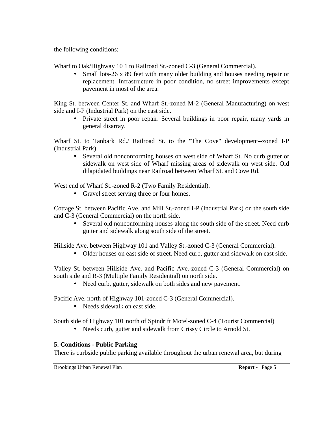the following conditions:

Wharf to Oak/Highway 10 1 to Railroad St.-zoned C-3 (General Commercial).

Small lots-26 x 89 feet with many older building and houses needing repair or replacement. Infrastructure in poor condition, no street improvements except pavement in most of the area.

King St. between Center St. and Wharf St.-zoned M-2 (General Manufacturing) on west side and I-P (Industrial Park) on the east side.

• Private street in poor repair. Several buildings in poor repair, many vards in general disarray.

Wharf St. to Tanbark Rd./ Railroad St. to the "The Cove" development--zoned I-P (Industrial Park).

• Several old nonconforming houses on west side of Wharf St. No curb gutter or sidewalk on west side of Wharf missing areas of sidewalk on west side. Old dilapidated buildings near Railroad between Wharf St. and Cove Rd.

West end of Wharf St.-zoned R-2 (Two Family Residential).

• Gravel street serving three or four homes.

Cottage St. between Pacific Ave. and Mill St.-zoned I-P (Industrial Park) on the south side and C-3 (General Commercial) on the north side.

• Several old nonconforming houses along the south side of the street. Need curb gutter and sidewalk along south side of the street.

Hillside Ave. between Highway 101 and Valley St.-zoned C-3 (General Commercial).

• Older houses on east side of street. Need curb, gutter and sidewalk on east side.

Valley St. between Hillside Ave. and Pacific Ave.-zoned C-3 (General Commercial) on south side and R-3 (Multiple Family Residential) on north side.

• Need curb, gutter, sidewalk on both sides and new pavement.

Pacific Ave. north of Highway 101-zoned C-3 (General Commercial).

• Needs sidewalk on east side.

South side of Highway 101 north of Spindrift Motel-zoned C-4 (Tourist Commercial)

• Needs curb, gutter and sidewalk from Crissy Circle to Arnold St.

# **5. Conditions - Public Parking**

There is curbside public parking available throughout the urban renewal area, but during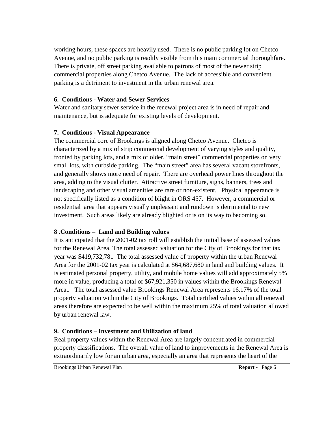working hours, these spaces are heavily used. There is no public parking lot on Chetco Avenue, and no public parking is readily visible from this main commercial thoroughfare. There is private, off street parking available to patrons of most of the newer strip commercial properties along Chetco Avenue. The lack of accessible and convenient parking is a detriment to investment in the urban renewal area.

#### **6. Conditions - Water and Sewer Services**

Water and sanitary sewer service in the renewal project area is in need of repair and maintenance, but is adequate for existing levels of development.

# **7. Conditions - Visual Appearance**

The commercial core of Brookings is aligned along Chetco Avenue. Chetco is characterized by a mix of strip commercial development of varying styles and quality, fronted by parking lots, and a mix of older, "main street" commercial properties on very small lots, with curbside parking. The "main street" area has several vacant storefronts, and generally shows more need of repair. There are overhead power lines throughout the area, adding to the visual clutter. Attractive street furniture, signs, banners, trees and landscaping and other visual amenities are rare or non-existent. Physical appearance is not specifically listed as a condition of blight in ORS 457. However, a commercial or residential area that appears visually unpleasant and rundown is detrimental to new investment. Such areas likely are already blighted or is on its way to becoming so.

# **8 .Conditions – Land and Building values**

It is anticipated that the 2001-02 tax roll will establish the initial base of assessed values for the Renewal Area. The total assessed valuation for the City of Brookings for that tax year was \$419,732,781 The total assessed value of property within the urban Renewal Area for the 2001-02 tax year is calculated at \$64,687,680 in land and building values. It is estimated personal property, utility, and mobile home values will add approximately 5% more in value, producing a total of \$67,921,350 in values within the Brookings Renewal Area.. The total assessed value Brookings Renewal Area represents 16.17% of the total property valuation within the City of Brookings. Total certified values within all renewal areas therefore are expected to be well within the maximum 25% of total valuation allowed by urban renewal law.

# **9. Conditions – Investment and Utilization of land**

Real property values within the Renewal Area are largely concentrated in commercial property classifications. The overall value of land to improvements in the Renewal Area is extraordinarily low for an urban area, especially an area that represents the heart of the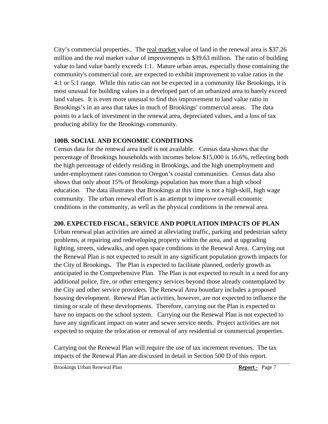City's commercial properties.. The real market value of land in the renewal area is \$37.26 million and the real market value of improvements is \$39.63 million. The ratio of building value to land value barely exceeds 1:1. Mature urban areas, especially those containing the community's commercial core, are expected to exhibit improvement to value ratios in the 4:1 or 5:1 range. While this ratio can not be expected in a community like Brookings, it is most unusual for building values in a developed part of an urbanized area to barely exceed land values. It is even more unusual to find this improvement to land value ratio in Brookings's in an area that takes in much of Brookings' commercial areas. The data points to a lack of investment in the renewal area, depreciated values, and a loss of tax producing ability for the Brookings community.

# **100B. SOCIAL AND ECONOMIC CONDITIONS**

Census data for the renewal area itself is not available. Census data shows that the percentage of Brookings households with incomes below \$15,000 is 16.6%, reflecting both the high percentage of elderly residing in Brookings, and the high unemployment and under-employment rates common to Oregon's coastal communities. Census data also shows that only about 15% of Brookings population has more than a high school education. The data illustrates that Brookings at this time is not a high-skill, high wage community. The urban renewal effort is an attempt to improve overall economic conditions in the community, as well as the physical conditions in the renewal area.

# **200. EXPECTED FISCAL, SERVICE AND POPULATION IMPACTS OF PLAN**

Urban renewal plan activities are aimed at alleviating traffic, parking and pedestrian safety problems, at repairing and redeveloping property within the area, and at upgrading lighting, streets, sidewalks, and open space conditions in the Renewal Area. Carrying out the Renewal Plan is not expected to result in any significant population growth impacts for the City of Brookings. The Plan is expected to facilitate planned, orderly growth as anticipated in the Comprehensive Plan. The Plan is not expected to result in a need for any additional police, fire, or other emergency services beyond those already contemplated by the City and other service providers. The Renewal Area boundary includes a proposed housing development. Renewal Plan activities, however, are not expected to influence the timing or scale of these developments. Therefore, carrying out the Plan is expected to have no impacts on the school system. Carrying out the Renewal Plan is not expected to have any significant impact on water and sewer service needs. Project activities are not expected to require the relocation or removal of any residential or commercial properties.

Carrying out the Renewal Plan will require the use of tax increment revenues. The tax impacts of the Renewal Plan are discussed in detail in Section 500 D of this report.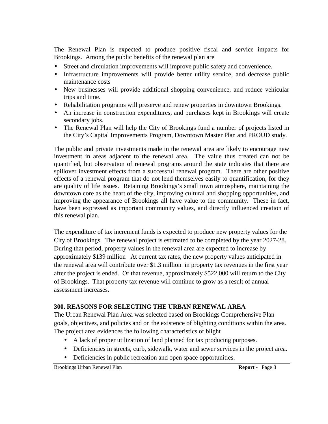The Renewal Plan is expected to produce positive fiscal and service impacts for Brookings. Among the public benefits of the renewal plan are

- Street and circulation improvements will improve public safety and convenience.
- Infrastructure improvements will provide better utility service, and decrease public maintenance costs
- New businesses will provide additional shopping convenience, and reduce vehicular trips and time.
- Rehabilitation programs will preserve and renew properties in downtown Brookings.
- An increase in construction expenditures, and purchases kept in Brookings will create secondary jobs.
- The Renewal Plan will help the City of Brookings fund a number of projects listed in the City's Capital Improvements Program, Downtown Master Plan and PROUD study.

The public and private investments made in the renewal area are likely to encourage new investment in areas adjacent to the renewal area. The value thus created can not be quantified, but observation of renewal programs around the state indicates that there are spillover investment effects from a successful renewal program. There are other positive effects of a renewal program that do not lend themselves easily to quantification, for they are quality of life issues. Retaining Brookings's small town atmosphere, maintaining the downtown core as the heart of the city, improving cultural and shopping opportunities, and improving the appearance of Brookings all have value to the community. These in fact, have been expressed as important community values, and directly influenced creation of this renewal plan.

The expenditure of tax increment funds is expected to produce new property values for the City of Brookings. The renewal project is estimated to be completed by the year 2027-28. During that period, property values in the renewal area are expected to increase by approximately \$139 million At current tax rates, the new property values anticipated in the renewal area will contribute over \$1.3 million in property tax revenues in the first year after the project is ended. Of that revenue, approximately \$522,000 will return to the City of Brookings. That property tax revenue will continue to grow as a result of annual assessment increases**.** 

# **300. REASONS FOR SELECTING THE URBAN RENEWAL AREA**

The Urban Renewal Plan Area was selected based on Brookings Comprehensive Plan goals, objectives, and policies and on the existence of blighting conditions within the area. The project area evidences the following characteristics of blight

- A lack of proper utilization of land planned for tax producing purposes.
- Deficiencies in streets, curb, sidewalk, water and sewer services in the project area.
- Deficiencies in public recreation and open space opportunities.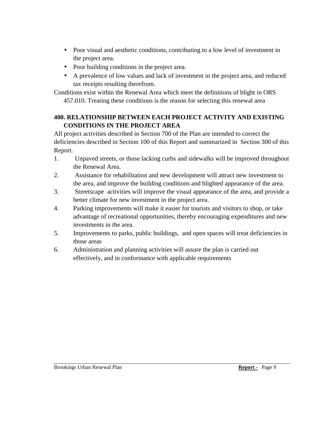- Poor visual and aesthetic conditions, contributing to a low level of investment in the project area.
- Poor building conditions in the project area.
- A prevalence of low values and lack of investment in the project area, and reduced tax receipts resulting therefrom.

Conditions exist within the Renewal Area which meet the definitions of blight in ORS 457.010. Treating these conditions is the reason for selecting this renewal area

# **400. RELATIONSHIP BETWEEN EACH PROJECT ACTIVITY AND EXISTING CONDITIONS IN THE PROJECT AREA**

All project activities described in Section 700 of the Plan are intended to correct the deficiencies described in Section 100 of this Report and summarized in Section 300 of this Report.

- 1. Unpaved streets, or those lacking curbs and sidewalks will be improved throughout the Renewal Area.
- 2. Assistance for rehabilitation and new development will attract new investment to the area, and improve the building conditions and blighted appearance of the area.
- 3. Streetscape activities will improve the visual appearance of the area, and provide a better climate for new investment in the project area.
- 4. Parking improvements will make it easier for tourists and visitors to shop, or take advantage of recreational opportunities, thereby encouraging expenditures and new investments in the area.
- 5. Improvements to parks, public buildings, and open spaces will treat deficiencies in those areas
- 6. Administration and planning activities will assure the plan is carried out effectively, and in conformance with applicable requirements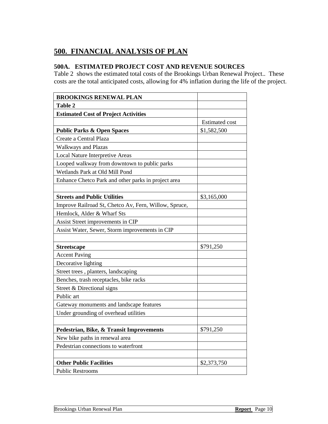# **500. FINANCIAL ANALYSIS OF PLAN**

# **500A. ESTIMATED PROJECT COST AND REVENUE SOURCES**

Table 2 shows the estimated total costs of the Brookings Urban Renewal Project.. These costs are the total anticipated costs, allowing for 4% inflation during the life of the project.

| <b>BROOKINGS RENEWAL PLAN</b>                         |                       |
|-------------------------------------------------------|-----------------------|
| Table 2                                               |                       |
| <b>Estimated Cost of Project Activities</b>           |                       |
|                                                       | <b>Estimated cost</b> |
| <b>Public Parks &amp; Open Spaces</b>                 | \$1,582,500           |
| Create a Central Plaza                                |                       |
| <b>Walkways and Plazas</b>                            |                       |
| <b>Local Nature Interpretive Areas</b>                |                       |
| Looped walkway from downtown to public parks          |                       |
| Wetlands Park at Old Mill Pond                        |                       |
| Enhance Chetco Park and other parks in project area   |                       |
|                                                       |                       |
| <b>Streets and Public Utilities</b>                   | \$3,165,000           |
| Improve Railroad St, Chetco Av, Fern, Willow, Spruce, |                       |
| Hemlock, Alder & Wharf Sts                            |                       |
| Assist Street improvements in CIP                     |                       |
| Assist Water, Sewer, Storm improvements in CIP        |                       |
|                                                       |                       |
| <b>Streetscape</b>                                    | \$791,250             |
| <b>Accent Paving</b>                                  |                       |
| Decorative lighting                                   |                       |
| Street trees, planters, landscaping                   |                       |
| Benches, trash receptacles, bike racks                |                       |
| Street & Directional signs                            |                       |
| Public art                                            |                       |
| Gateway monuments and landscape features              |                       |
| Under grounding of overhead utilities                 |                       |
|                                                       |                       |
| Pedestrian, Bike, & Transit Improvements              | \$791,250             |
| New bike paths in renewal area                        |                       |
| Pedestrian connections to waterfront                  |                       |
|                                                       |                       |
| <b>Other Public Facilities</b>                        | \$2,373,750           |
| <b>Public Restrooms</b>                               |                       |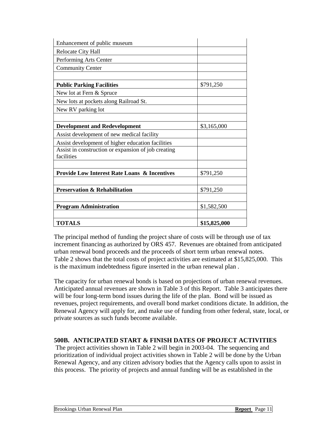| Enhancement of public museum                                      |              |
|-------------------------------------------------------------------|--------------|
| Relocate City Hall                                                |              |
| Performing Arts Center                                            |              |
| <b>Community Center</b>                                           |              |
|                                                                   |              |
| <b>Public Parking Facilities</b>                                  | \$791,250    |
| New lot at Fern & Spruce                                          |              |
| New lots at pockets along Railroad St.                            |              |
| New RV parking lot                                                |              |
|                                                                   |              |
| <b>Development and Redevelopment</b>                              | \$3,165,000  |
| Assist development of new medical facility                        |              |
| Assist development of higher education facilities                 |              |
| Assist in construction or expansion of job creating<br>facilities |              |
|                                                                   |              |
| <b>Provide Low Interest Rate Loans &amp; Incentives</b>           | \$791,250    |
|                                                                   |              |
| <b>Preservation &amp; Rehabilitation</b>                          | \$791,250    |
|                                                                   |              |
| <b>Program Administration</b>                                     | \$1,582,500  |
|                                                                   |              |
| <b>TOTALS</b>                                                     | \$15,825,000 |

The principal method of funding the project share of costs will be through use of tax increment financing as authorized by ORS 457. Revenues are obtained from anticipated urban renewal bond proceeds and the proceeds of short term urban renewal notes. Table 2 shows that the total costs of project activities are estimated at \$15,825,000. This is the maximum indebtedness figure inserted in the urban renewal plan .

The capacity for urban renewal bonds is based on projections of urban renewal revenues. Anticipated annual revenues are shown in Table 3 of this Report. Table 3 anticipates there will be four long-term bond issues during the life of the plan. Bond will be issued as revenues, project requirements, and overall bond market conditions dictate. In addition, the Renewal Agency will apply for, and make use of funding from other federal, state, local, or private sources as such funds become available.

#### **500B. ANTICIPATED START & FINISH DATES OF PROJECT ACTIVITIES**

 The project activities shown in Table 2 will begin in 2003-04. The sequencing and prioritization of individual project activities shown in Table 2 will be done by the Urban Renewal Agency, and any citizen advisory bodies that the Agency calls upon to assist in this process. The priority of projects and annual funding will be as established in the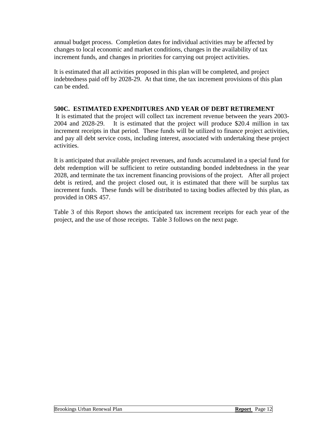annual budget process. Completion dates for individual activities may be affected by changes to local economic and market conditions, changes in the availability of tax increment funds, and changes in priorities for carrying out project activities.

It is estimated that all activities proposed in this plan will be completed, and project indebtedness paid off by 2028-29. At that time, the tax increment provisions of this plan can be ended.

#### **500C. ESTIMATED EXPENDITURES AND YEAR OF DEBT RETIREMENT**

 It is estimated that the project will collect tax increment revenue between the years 2003- 2004 and 2028-29. It is estimated that the project will produce \$20.4 million in tax increment receipts in that period. These funds will be utilized to finance project activities, and pay all debt service costs, including interest, associated with undertaking these project activities.

It is anticipated that available project revenues, and funds accumulated in a special fund for debt redemption will be sufficient to retire outstanding bonded indebtedness in the year 2028, and terminate the tax increment financing provisions of the project. After all project debt is retired, and the project closed out, it is estimated that there will be surplus tax increment funds. These funds will be distributed to taxing bodies affected by this plan, as provided in ORS 457.

Table 3 of this Report shows the anticipated tax increment receipts for each year of the project, and the use of those receipts. Table 3 follows on the next page.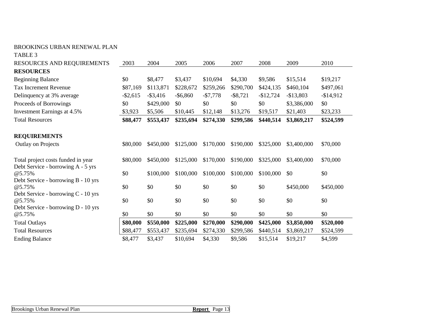#### BROOKINGS URBAN RENEWAL PLAN

TABLE 3

| RESOURCES AND REQUIREMENTS                                                           | 2003        | 2004        | 2005        | 2006      | 2007        | 2008       | 2009        | 2010       |
|--------------------------------------------------------------------------------------|-------------|-------------|-------------|-----------|-------------|------------|-------------|------------|
| <b>RESOURCES</b>                                                                     |             |             |             |           |             |            |             |            |
| <b>Beginning Balance</b>                                                             | \$0         | \$8,477     | \$3,437     | \$10,694  | \$4,330     | \$9,586    | \$15,514    | \$19,217   |
| <b>Tax Increment Revenue</b>                                                         | \$87,169    | \$113,871   | \$228,672   | \$259,266 | \$290,700   | \$424,135  | \$460,104   | \$497,061  |
| Delinquency at 3% average                                                            | $-$ \$2,615 | $-$ \$3,416 | $-$ \$6,860 | $-$7,778$ | $-$ \$8,721 | $-$12,724$ | $-$13,803$  | $-$14,912$ |
| Proceeds of Borrowings                                                               | \$0         | \$429,000   | \$0         | \$0       | \$0         | \$0        | \$3,386,000 | \$0        |
| Investment Earnings at 4.5%                                                          | \$3,923     | \$5,506     | \$10,445    | \$12,148  | \$13,276    | \$19,517   | \$21,403    | \$23,233   |
| <b>Total Resources</b>                                                               | \$88,477    | \$553,437   | \$235,694   | \$274,330 | \$299,586   | \$440,514  | \$3,869,217 | \$524,599  |
| <b>REQUIREMENTS</b>                                                                  |             |             |             |           |             |            |             |            |
| Outlay on Projects                                                                   | \$80,000    | \$450,000   | \$125,000   | \$170,000 | \$190,000   | \$325,000  | \$3,400,000 | \$70,000   |
| Total project costs funded in year<br>Debt Service - borrowing A - 5 yrs             | \$80,000    | \$450,000   | \$125,000   | \$170,000 | \$190,000   | \$325,000  | \$3,400,000 | \$70,000   |
| @5.75%                                                                               | \$0         | \$100,000   | \$100,000   | \$100,000 | \$100,000   | \$100,000  | \$0         | \$0        |
| Debt Service - borrowing B - 10 yrs<br>@5.75%<br>Debt Service - borrowing C - 10 yrs | \$0         | \$0         | \$0         | \$0       | \$0         | \$0        | \$450,000   | \$450,000  |
| @5.75%                                                                               | \$0         | \$0         | \$0         | \$0       | \$0         | \$0        | \$0         | \$0        |
| Debt Service - borrowing D - 10 yrs<br>@5.75%                                        | \$0         | \$0         | \$0         | \$0       | \$0         | \$0        | \$0         | \$0        |
| <b>Total Outlays</b>                                                                 | \$80,000    | \$550,000   | \$225,000   | \$270,000 | \$290,000   | \$425,000  | \$3,850,000 | \$520,000  |
| <b>Total Resources</b>                                                               | \$88,477    | \$553,437   | \$235,694   | \$274,330 | \$299,586   | \$440,514  | \$3,869,217 | \$524,599  |
| <b>Ending Balance</b>                                                                | \$8,477     | \$3,437     | \$10,694    | \$4,330   | \$9,586     | \$15,514   | \$19,217    | \$4,599    |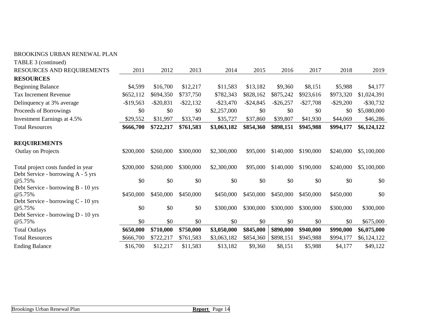| TABLE 3 (continued)                                                      |              |              |              |              |              |              |              |              |              |
|--------------------------------------------------------------------------|--------------|--------------|--------------|--------------|--------------|--------------|--------------|--------------|--------------|
| RESOURCES AND REQUIREMENTS                                               | 2011         | 2012         | 2013         | 2014         | 2015         | 2016         | 2017         | 2018         | 2019         |
| <b>RESOURCES</b>                                                         |              |              |              |              |              |              |              |              |              |
| <b>Beginning Balance</b>                                                 | \$4,599      | \$16,700     | \$12,217     | \$11,583     | \$13,182     | \$9,360      | \$8,151      | \$5,988      | \$4,177      |
| <b>Tax Increment Revenue</b>                                             | \$652,112    | \$694,350    | \$737,750    | \$782,343    | \$828,162    | \$875,242    | \$923,616    | \$973,320    | \$1,024,391  |
| Delinquency at 3% average                                                | $-$ \$19,563 | $-$ \$20,831 | $-$ \$22,132 | $-$ \$23,470 | $-$ \$24,845 | $-$ \$26,257 | $-$ \$27,708 | $-$ \$29,200 | $-$ \$30,732 |
| Proceeds of Borrowings                                                   | \$0          | \$0          | \$0          | \$2,257,000  | \$0          | \$0          | \$0          | \$0          | \$5,080,000  |
| Investment Earnings at 4.5%                                              | \$29,552     | \$31,997     | \$33,749     | \$35,727     | \$37,860     | \$39,807     | \$41,930     | \$44,069     | \$46,286     |
| <b>Total Resources</b>                                                   | \$666,700    | \$722,217    | \$761,583    | \$3,063,182  | \$854,360    | \$898,151    | \$945,988    | \$994,177    | \$6,124,122  |
| <b>REQUIREMENTS</b>                                                      |              |              |              |              |              |              |              |              |              |
| Outlay on Projects                                                       | \$200,000    | \$260,000    | \$300,000    | \$2,300,000  | \$95,000     | \$140,000    | \$190,000    | \$240,000    | \$5,100,000  |
| Total project costs funded in year<br>Debt Service - borrowing A - 5 yrs | \$200,000    | \$260,000    | \$300,000    | \$2,300,000  | \$95,000     | \$140,000    | \$190,000    | \$240,000    | \$5,100,000  |
| @5.75%                                                                   | \$0          | \$0          | \$0          | \$0          | \$0          | \$0          | \$0          | \$0          | \$0          |
| Debt Service - borrowing B - 10 yrs                                      |              |              |              |              |              |              |              |              |              |
| @5.75%                                                                   | \$450,000    | \$450,000    | \$450,000    | \$450,000    | \$450,000    | \$450,000    | \$450,000    | \$450,000    | \$0          |
| Debt Service - borrowing C - 10 yrs<br>@5.75%                            | \$0          | \$0          | \$0          | \$300,000    | \$300,000    | \$300,000    | \$300,000    | \$300,000    | \$300,000    |
| Debt Service - borrowing D - 10 yrs<br>@5.75%                            | \$0          | \$0          | \$0          | \$0          | \$0          | \$0          | \$0          | \$0          | \$675,000    |
| <b>Total Outlays</b>                                                     | \$650,000    | \$710,000    | \$750,000    | \$3,050,000  | \$845,000    | \$890,000    | \$940,000    | \$990,000    | \$6,075,000  |
| <b>Total Resources</b>                                                   | \$666,700    | \$722,217    | \$761,583    | \$3,063,182  | \$854,360    | \$898,151    | \$945,988    | \$994,177    | \$6,124,122  |
| <b>Ending Balance</b>                                                    | \$16,700     | \$12,217     | \$11,583     | \$13,182     | \$9,360      | \$8,151      | \$5,988      | \$4,177      | \$49,122     |

BROOKINGS URBAN RENEWAL PLAN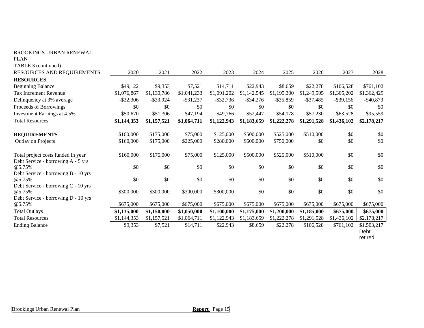| BROOKINGS URBAN RENEWAL                       |              |              |              |              |              |              |              |              |                                |
|-----------------------------------------------|--------------|--------------|--------------|--------------|--------------|--------------|--------------|--------------|--------------------------------|
| <b>PLAN</b>                                   |              |              |              |              |              |              |              |              |                                |
| TABLE 3 (continued)                           |              |              |              |              |              |              |              |              |                                |
| RESOURCES AND REQUIREMENTS                    | 2020         | 2021         | 2022         | 2023         | 2024         | 2025         | 2026         | 2027         | 2028                           |
| <b>RESOURCES</b>                              |              |              |              |              |              |              |              |              |                                |
| <b>Beginning Balance</b>                      | \$49,122     | \$9,353      | \$7,521      | \$14,711     | \$22,943     | \$8,659      | \$22,278     | \$106,528    | \$761,102                      |
| <b>Tax Increment Revenue</b>                  | \$1,076,867  | \$1,130,786  | \$1,041,233  | \$1,091,202  | \$1,142,545  | \$1,195,300  | \$1,249,505  | \$1,305,202  | \$1,362,429                    |
| Delinquency at 3% average                     | $-$ \$32,306 | $-$ \$33,924 | $-$ \$31,237 | $-$ \$32,736 | $-$ \$34,276 | $-$ \$35,859 | $-$ \$37,485 | $-$ \$39,156 | $-$ \$40,873                   |
| Proceeds of Borrowings                        | \$0          | \$0          | \$0          | \$0          | \$0          | \$0          | \$0          | \$0          | \$0                            |
| Investment Earnings at 4.5%                   | \$50,670     | \$51,306     | \$47,194     | \$49,766     | \$52,447     | \$54,178     | \$57,230     | \$63,528     | \$95,559                       |
| <b>Total Resources</b>                        | \$1,144,353  | \$1,157,521  | \$1,064,711  | \$1,122,943  | \$1,183,659  | \$1,222,278  | \$1,291,528  | \$1,436,102  | \$2,178,217                    |
| <b>REQUIREMENTS</b>                           | \$160,000    | \$175,000    | \$75,000     | \$125,000    | \$500,000    | \$525,000    | \$510,000    | \$0          | \$0                            |
| Outlay on Projects                            | \$160,000    | \$175,000    | \$225,000    | \$280,000    | \$600,000    | \$750,000    | \$0          | \$0          | \$0                            |
| Total project costs funded in year            | \$160,000    | \$175,000    | \$75,000     | \$125,000    | \$500,000    | \$525,000    | \$510,000    | \$0          | \$0                            |
| Debt Service - borrowing A - 5 yrs            |              |              |              |              |              |              |              |              |                                |
| @5.75%                                        | \$0          | \$0          | \$0          | \$0          | \$0          | \$0          | \$0          | \$0          | \$0                            |
| Debt Service - borrowing B - 10 yrs           |              |              |              |              |              |              |              |              |                                |
| @5.75%                                        | \$0          | \$0          | \$0          | \$0          | \$0          | $\$0$        | $\$0$        | $\$0$        | \$0                            |
| Debt Service - borrowing C - 10 yrs           |              |              |              |              |              |              |              |              |                                |
| @5.75%                                        | \$300,000    | \$300,000    | \$300,000    | \$300,000    | \$0          | \$0          | \$0          | \$0          | \$0                            |
| Debt Service - borrowing D - 10 yrs<br>@5.75% | \$675,000    | \$675,000    | \$675,000    | \$675,000    | \$675,000    | \$675,000    | \$675,000    | \$675,000    | \$675,000                      |
| <b>Total Outlays</b>                          |              | \$1,150,000  |              |              | \$1,175,000  | \$1,200,000  | \$1,185,000  | \$675,000    |                                |
| <b>Total Resources</b>                        | \$1,135,000  |              | \$1,050,000  | \$1,100,000  |              | \$1,222,278  |              |              | \$675,000                      |
|                                               | \$1,144,353  | \$1,157,521  | \$1,064,711  | \$1,122,943  | \$1,183,659  |              | \$1,291,528  | \$1,436,102  | \$2,178,217                    |
| <b>Ending Balance</b>                         | \$9,353      | \$7,521      | \$14,711     | \$22,943     | \$8,659      | \$22,278     | \$106,528    | \$761,102    | \$1,503,217<br>Debt<br>retired |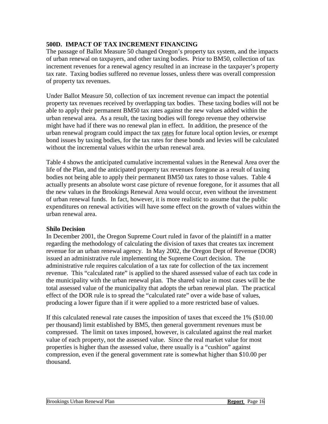#### **500D. IMPACT OF TAX INCREMENT FINANCING**

The passage of Ballot Measure 50 changed Oregon's property tax system, and the impacts of urban renewal on taxpayers, and other taxing bodies. Prior to BM50, collection of tax increment revenues for a renewal agency resulted in an increase in the taxpayer's property tax rate. Taxing bodies suffered no revenue losses, unless there was overall compression of property tax revenues.

Under Ballot Measure 50, collection of tax increment revenue can impact the potential property tax revenues received by overlapping tax bodies. These taxing bodies will not be able to apply their permanent BM50 tax rates against the new values added within the urban renewal area. As a result, the taxing bodies will forego revenue they otherwise might have had if there was no renewal plan in effect. In addition, the presence of the urban renewal program could impact the tax rates for future local option levies, or exempt bond issues by taxing bodies, for the tax rates for these bonds and levies will be calculated without the incremental values within the urban renewal area.

Table 4 shows the anticipated cumulative incremental values in the Renewal Area over the life of the Plan, and the anticipated property tax revenues foregone as a result of taxing bodies not being able to apply their permanent BM50 tax rates to those values. Table 4 actually presents an absolute worst case picture of revenue foregone, for it assumes that all the new values in the Brookings Renewal Area would occur, even without the investment of urban renewal funds. In fact, however, it is more realistic to assume that the public expenditures on renewal activities will have some effect on the growth of values within the urban renewal area.

#### **Shilo Decision**

In December 2001, the Oregon Supreme Court ruled in favor of the plaintiff in a matter regarding the methodology of calculating the division of taxes that creates tax increment revenue for an urban renewal agency. In May 2002, the Oregon Dept of Revenue (DOR) issued an administrative rule implementing the Supreme Court decision. The administrative rule requires calculation of a tax rate for collection of the tax increment revenue. This "calculated rate" is applied to the shared assessed value of each tax code in the municipality with the urban renewal plan. The shared value in most cases will be the total assessed value of the municipality that adopts the urban renewal plan. The practical effect of the DOR rule is to spread the "calculated rate" over a wide base of values, producing a lower figure than if it were applied to a more restricted base of values.

If this calculated renewal rate causes the imposition of taxes that exceed the 1% (\$10.00 per thousand) limit established by BM5, then general government revenues must be compressed. The limit on taxes imposed, however, is calculated against the real market value of each property, not the assessed value. Since the real market value for most properties is higher than the assessed value, there usually is a "cushion" against compression, even if the general government rate is somewhat higher than \$10.00 per thousand.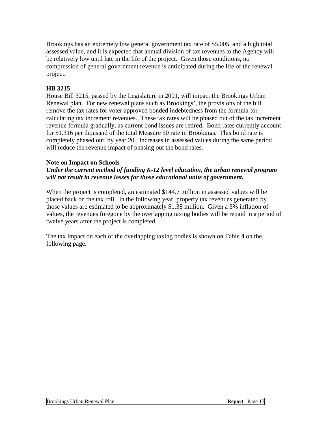Brookings has an extremely low general government tax rate of \$5.005, and a high total assessed value, and it is expected that annual division of tax revenues to the Agency will be relatively low until late in the life of the project. Given those conditions, no compression of general government revenue is anticipated during the life of the renewal project.

#### **HB 3215**

House Bill 3215, passed by the Legislature in 2001, will impact the Brookings Urban Renewal plan. For new renewal plans such as Brookings', the provisions of the bill remove the tax rates for voter approved bonded indebtedness from the formula for calculating tax increment revenues. These tax rates will be phased out of the tax increment revenue formula gradually, as current bond issues are retired. Bond rates currently account for \$1.316 per thousand of the total Measure 50 rate in Brookings. This bond rate is completely phased out by year 20. Increases in assessed values during the same period will reduce the revenue impact of phasing out the bond rates.

#### **Note on Impact on Schools**

#### *Under the current method of funding K-12 level education, the urban renewal program will not result in revenue losses for those educational units of government.*

When the project is completed, an estimated \$144.7 million in assessed values will be placed back on the tax roll. In the following year, property tax revenues generated by those values are estimated to be approximately \$1.38 million. Given a 3% inflation of values, the revenues foregone by the overlapping taxing bodies will be repaid in a period of twelve years after the project is completed.

The tax impact on each of the overlapping taxing bodies is shown on Table 4 on the following page.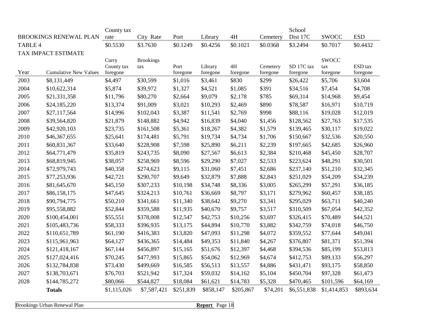| County tax |                               |                     |                  |                  |                     |                  | School            |                      |                 |                     |
|------------|-------------------------------|---------------------|------------------|------------------|---------------------|------------------|-------------------|----------------------|-----------------|---------------------|
|            | <b>BROOKINGS RENEWAL PLAN</b> | rate                | City Rate        | Port             | Library             | 4H               | Cemetery          | Dist 17C             | <b>SWOCC</b>    | <b>ESD</b>          |
| TABLE 4    |                               | \$0.5530            | \$3.7630         | \$0.1249         | \$0.4256            | \$0.1021         | \$0.0368          | \$3.2494             | \$0.7017        | \$0.4432            |
|            | TAX IMPACT ESTIMATE           |                     |                  |                  |                     |                  |                   |                      |                 |                     |
|            |                               | Curry               | <b>Brookings</b> |                  |                     |                  |                   |                      | <b>SWOCC</b>    |                     |
| Year       | <b>Cumulative New Values</b>  | County tax          | tax              | Port<br>foregone | Library<br>foregone | $4H$<br>foregone | Cemetery          | SD 17C tax           | tax<br>foregone | ESD tax             |
| 2003       | \$8,131,449                   | foregone<br>\$4,497 | \$30,599         | \$1,016          | \$3,461             | \$830            | foregone<br>\$299 | foregone<br>\$26,422 | \$5,706         | foregone<br>\$3,604 |
| 2004       | \$10,622,314                  | \$5,874             | \$39,972         | \$1,327          | \$4,521             | \$1,085          | \$391             | \$34,516             | \$7,454         | \$4,708             |
| 2005       |                               | \$11,796            | \$80,270         |                  | \$9,079             |                  | \$785             | \$69,314             |                 |                     |
|            | \$21,331,358                  |                     |                  | \$2,664          |                     | \$2,178          |                   |                      | \$14,968        | \$9,454             |
| 2006       | \$24,185,220                  | \$13,374            | \$91,009         | \$3,021          | \$10,293            | \$2,469          | \$890             | \$78,587             | \$16,971        | \$10,719            |
| 2007       | \$27,117,564                  | \$14,996            | \$102,043        | \$3,387          | \$11,541            | \$2,769          | \$998             | \$88,116             | \$19,028        | \$12,019            |
| 2008       | \$39,564,820                  | \$21,879            | \$148,882        | \$4,942          | \$16,839            | \$4,040          | \$1,456           | \$128,562            | \$27,763        | \$17,535            |
| 2009       | \$42,920,103                  | \$23,735            | \$161,508        | \$5,361          | \$18,267            | \$4,382          | \$1,579           | \$139,465            | \$30,117        | \$19,022            |
| 2010       | \$46,367,655                  | \$25,641            | \$174,481        | \$5,791          | \$19,734            | \$4,734          | \$1,706           | \$150,667            | \$32,536        | \$20,550            |
| 2011       | \$60,831,367                  | \$33,640            | \$228,908        | \$7,598          | \$25,890            | \$6,211          | \$2,239           | \$197,665            | \$42,685        | \$26,960            |
| 2012       | \$64,771,479                  | \$35,819            | \$243,735        | \$8,090          | \$27,567            | \$6,613          | \$2,384           | \$210,468            | \$45,450        | \$28,707            |
| 2013       | \$68,819,945                  | \$38,057            | \$258,969        | \$8,596          | \$29,290            | \$7,027          | \$2,533           | \$223,624            | \$48,291        | \$30,501            |
| 2014       | \$72,979,743                  | \$40,358            | \$274,623        | \$9,115          | \$31,060            | \$7,451          | \$2,686           | \$237,140            | \$51,210        | \$32,345            |
| 2015       | \$77,253,936                  | \$42,721            | \$290,707        | \$9,649          | \$32,879            | \$7,888          | \$2,843           | \$251,029            | \$54,209        | \$34,239            |
| 2016       | \$81,645,670                  | \$45,150            | \$307,233        | \$10,198         | \$34,748            | \$8,336          | \$3,005           | \$265,299            | \$57,291        | \$36,185            |
| 2017       | \$86,158,175                  | \$47,645            | \$324,213        | \$10,761         | \$36,669            | \$8,797          | \$3,171           | \$279,962            | \$60,457        | \$38,185            |
| 2018       | \$90,794,775                  | \$50,210            | \$341,661        | \$11,340         | \$38,642            | \$9,270          | \$3,341           | \$295,029            | \$63,711        | \$40,240            |
| 2019       | \$95,558,882                  | \$52,844            | \$359,588        | \$11,935         | \$40,670            | \$9,757          | \$3,517           | \$310,509            | \$67,054        | \$42,352            |
| 2020       | \$100,454,001                 | \$55,551            | \$378,008        | \$12,547         | \$42,753            | \$10,256         | \$3,697           | \$326,415            | \$70,489        | \$44,521            |
| 2021       | \$105,483,736                 | \$58,333            | \$396,935        | \$13,175         | \$44,894            | \$10,770         | \$3,882           | \$342,759            | \$74,018        | \$46,750            |
| 2022       | \$110,651,789                 | \$61,190            | \$416,383        | \$13,820         | \$47,093            | \$11,298         | \$4,072           | \$359,552            | \$77,644        | \$49,041            |
| 2023       | \$115,961,963                 | \$64,127            | \$436,365        | \$14,484         | \$49,353            | \$11,840         | \$4,267           | \$376,807            | \$81,371        | \$51,394            |
| 2024       | \$121,418,167                 | \$67,144            | \$456,897        | \$15,165         | \$51,676            | \$12,397         | \$4,468           | \$394,536            | \$85,199        | \$53,813            |
| 2025       | \$127,024,416                 | \$70,245            | \$477,993        | \$15,865         | \$54,062            | \$12,969         | \$4,674           | \$412,753            | \$89,133        | \$56,297            |
| 2026       | \$132,784,838                 | \$73,430            | \$499,669        | \$16,585         | \$56,513            | \$13,557         | \$4,886           | \$431,471            | \$93,175        | \$58,850            |
| 2027       | \$138,703,671                 | \$76,703            | \$521,942        | \$17,324         | \$59,032            | \$14,162         | \$5,104           | \$450,704            | \$97,328        | \$61,473            |
| 2028       | \$144,785,272                 | \$80,066            | \$544,827        | \$18,084         | \$61,621            | \$14,783         | \$5,328           | \$470,465            | \$101,596       | \$64,169            |
|            | <b>Totals</b>                 | \$1,115,026         | \$7,587,421      | \$251,839        | \$858,147           | \$205,867        | \$74,201          | \$6,551,838          | \$1,414,853     | \$893,634           |

**Brookings Urban Renewal Plan Report** Page 18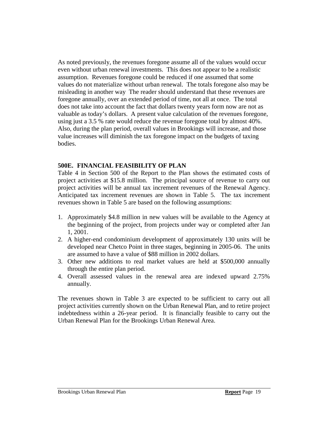As noted previously, the revenues foregone assume all of the values would occur even without urban renewal investments. This does not appear to be a realistic assumption. Revenues foregone could be reduced if one assumed that some values do not materialize without urban renewal. The totals foregone also may be misleading in another way The reader should understand that these revenues are foregone annually, over an extended period of time, not all at once. The total does not take into account the fact that dollars twenty years form now are not as valuable as today's dollars. A present value calculation of the revenues foregone, using just a 3.5 % rate would reduce the revenue foregone total by almost 40%. Also, during the plan period, overall values in Brookings will increase, and those value increases will diminish the tax foregone impact on the budgets of taxing bodies.

#### **500E. FINANCIAL FEASIBILITY OF PLAN**

Table 4 in Section 500 of the Report to the Plan shows the estimated costs of project activities at \$15.8 million. The principal source of revenue to carry out project activities will be annual tax increment revenues of the Renewal Agency. Anticipated tax increment revenues are shown in Table 5. The tax increment revenues shown in Table 5 are based on the following assumptions:

- 1. Approximately \$4.8 million in new values will be available to the Agency at the beginning of the project, from projects under way or completed after Jan 1, 2001.
- 2. A higher-end condominium development of approximately 130 units will be developed near Chetco Point in three stages, beginning in 2005-06. The units are assumed to have a value of \$88 million in 2002 dollars.
- 3. Other new additions to real market values are held at \$500,000 annually through the entire plan period.
- 4. Overall assessed values in the renewal area are indexed upward 2.75% annually.

The revenues shown in Table 3 are expected to be sufficient to carry out all project activities currently shown on the Urban Renewal Plan, and to retire project indebtedness within a 26-year period. It is financially feasible to carry out the Urban Renewal Plan for the Brookings Urban Renewal Area.